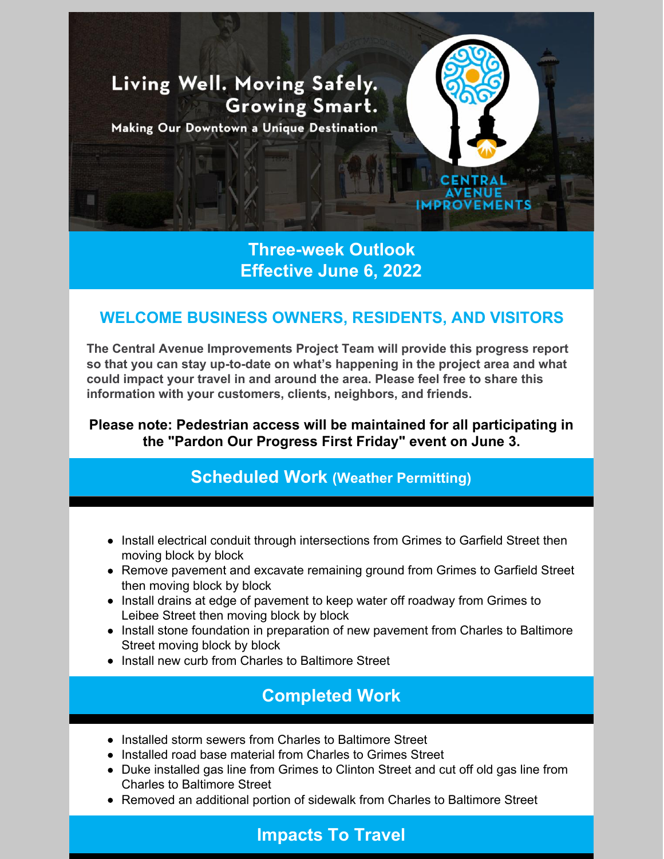

**Three-week Outlook Effective June 6, 2022**

## **WELCOME BUSINESS OWNERS, RESIDENTS, AND VISITORS**

**The Central Avenue Improvements Project Team will provide this progress report so that you can stay up-to-date on what's happening in the project area and what could impact your travel in and around the area. Please feel free to share this information with your customers, clients, neighbors, and friends.**

**Please note: Pedestrian access will be maintained for all participating in the "Pardon Our Progress First Friday" event on June 3.**

## **Scheduled Work (Weather Permitting)**

- Install electrical conduit through intersections from Grimes to Garfield Street then moving block by block
- Remove pavement and excavate remaining ground from Grimes to Garfield Street then moving block by block
- Install drains at edge of pavement to keep water off roadway from Grimes to Leibee Street then moving block by block
- Install stone foundation in preparation of new pavement from Charles to Baltimore Street moving block by block
- Install new curb from Charles to Baltimore Street

## **Completed Work**

- Installed storm sewers from Charles to Baltimore Street
- Installed road base material from Charles to Grimes Street
- Duke installed gas line from Grimes to Clinton Street and cut off old gas line from Charles to Baltimore Street
- Removed an additional portion of sidewalk from Charles to Baltimore Street

## **Impacts To Travel**